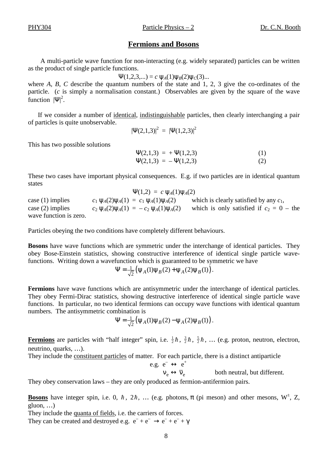### **Fermions and Bosons**

A multi-particle wave function for non-interacting (e.g. widely separated) particles can be written as the product of single particle functions.

 $\Psi(1,2,3,...) = c \Psi_A(1)\Psi_B(2)\Psi_C(3)...$ 

where *A*, *B*, *C* describe the quantum numbers of the state and 1, 2, 3 give the co-ordinates of the particle. (*c* is simply a normalisation constant.) Observables are given by the square of the wave function  $|\Psi|^2$ .

If we consider a number of <u>identical</u>, indistinguishable particles, then clearly interchanging a pair of particles is quite unobservable.

$$
|\Psi(2,1,3)|^2 = |\Psi(1,2,3)|^2
$$

This has two possible solutions

$$
\Psi(2,1,3) = +\Psi(1,2,3) \tag{1}
$$
  

$$
\Psi(2,1,3) = -\Psi(1,2,3) \tag{2}
$$

These two cases have important physical consequences. E.g. if two particles are in identical quantum states

 $\Psi(1,2) = c \Psi_A(1)\Psi_A(2)$ case (1) implies  $c_1 \psi_A(2)\psi_A(1) = c_1 \psi_A(1)\psi_A(2)$  which is clearly satisfied by any  $c_1$ , case (2) implies  $c_2 \psi_A(2) \psi_A(1) = -c_2 \psi_A(1) \psi_A(2)$  which is only satisfied if  $c_2 = 0$  – the wave function is zero.

Particles obeying the two conditions have completely different behaviours.

**Bosons** have wave functions which are symmetric under the interchange of identical particles. They obey Bose-Einstein statistics, showing constructive interference of identical single particle wavefunctions. Writing down a wavefunction which is guaranteed to be symmetric we have

$$
\Psi = \frac{1}{\sqrt{2}} (\psi_A(1)\psi_B(2) + \psi_A(2)\psi_B(1)).
$$

**Fermions** have wave functions which are antisymmetric under the interchange of identical particles. They obey Fermi-Dirac statistics, showing destructive interference of identical single particle wave functions. In particular, no two identical fermions can occupy wave functions with identical quantum numbers. The antisymmetric combination is

$$
\Psi = \frac{1}{\sqrt{2}} (\psi_A(1)\psi_B(2) - \psi_A(2)\psi_B(1)).
$$

**Fermions** are particles with "half integer" spin, i.e.  $\frac{1}{2}\hbar$ ,  $\frac{3}{2}\hbar$ ,  $\frac{5}{2}\hbar$ , ... (e.g. proton, neutron, electron, neutrino, quarks, …).

They include the constituent particles of matter. For each particle, there is a distinct antiparticle  $e.g.$ 

$$
e^- \leftrightarrow e^+ \n v_e \leftrightarrow \overline{v}_e
$$
\nboth neutral, but different.

They obey conservation laws – they are only produced as fermion-antifermion pairs.

**Bosons** have integer spin, i.e. 0,  $\hbar$ , 2 $\hbar$ , ... (e.g. photons,  $\pi$  (pi meson) and other mesons,  $W^{\pm}$ , Z, gluon, …)

They include the quanta of fields, i.e. the carriers of forces.

They can be created and destroyed e.g.  $e^- + e^- \rightarrow e^- + e^- + \gamma$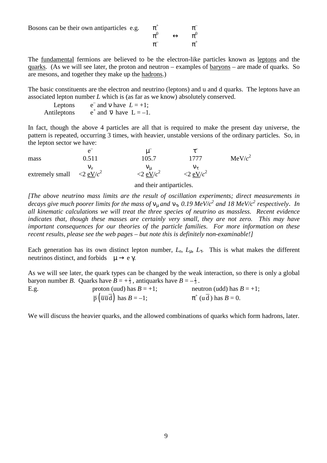Bosons can be their own antiparticles e.g.

$$
\begin{array}{ccc}\pi^+ & & \pi^-\\ \pi^0 & & \leftrightarrow & \pi^0\\ \pi^- & & & \pi^+ \end{array}
$$

The fundamental fermions are believed to be the electron-like particles known as leptons and the quarks. (As we will see later, the proton and neutron – examples of baryons – are made of quarks. So are mesons, and together they make up the hadrons.)

The basic constituents are the electron and neutrino (leptons) and u and d quarks. The leptons have an associated lepton number *L* which is (as far as we know) absolutely conserved.

| Leptons     | $e^-$ and v have $L = +1$ ;              |
|-------------|------------------------------------------|
| Antileptons | $e^+$ and $\overline{v}$ have $L = -1$ . |

In fact, though the above 4 particles are all that is required to make the present day universe, the pattern is repeated, occurring 3 times, with heavier, unstable versions of the ordinary particles. So, in the lepton sector we have:

| mass                                               | A<br>0.511 | 105.7              | 1777                               | MeV/c <sup>2</sup> |
|----------------------------------------------------|------------|--------------------|------------------------------------|--------------------|
| extremely small $\langle 2 \text{ eV}/c^2 \rangle$ | Vе         | $\sim$ 2 eV/ $c^2$ | $\langle 2 \text{ eV}/c^2 \rangle$ |                    |
|                                                    |            |                    |                                    |                    |

and their antiparticles.

*[The above neutrino mass limits are the result of oscillation experiments; direct measurements in decays give much poorer limits for the mass of* νµ *and* ντ, *0.19 MeV/c<sup>2</sup> and 18 MeV/c<sup>2</sup> respectively*. *In all kinematic calculations we will treat the three species of neutrino as massless. Recent evidence indicates that, though these masses are certainly very small, they are not zero. This may have important consequences for our theories of the particle families. For more information on these recent results, please see the web pages – but note this is definitely non-examinable!]* 

Each generation has its own distinct lepton number,  $L_e$ ,  $L_u$ ,  $L_\tau$ . This is what makes the different neutrinos distinct, and forbids  $\mu \rightarrow e \gamma$ .

As we will see later, the quark types can be changed by the weak interaction, so there is only a global baryon number *B*. Quarks have  $B = +\frac{1}{3}$ , antiquarks have  $B = -\frac{1}{3}$ .

| E.g. | proton (uud) has $B = +1$ ;                                       | neutron (udd) has $B = +1$ ; |
|------|-------------------------------------------------------------------|------------------------------|
|      | $\overline{p}(\overline{u}\overline{u}\overline{d})$ has $B=-1$ ; | $\pi^+$ (u d ) has $B=0$ .   |

We will discuss the heavier quarks, and the allowed combinations of quarks which form hadrons, later.